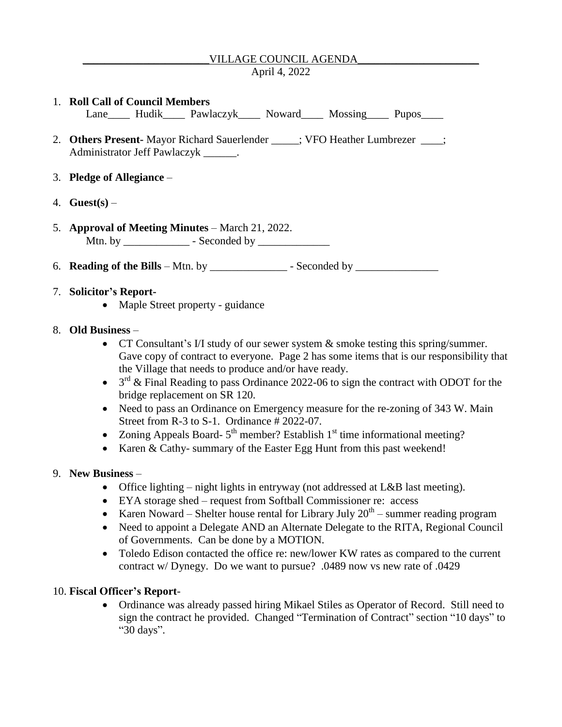# VILLAGE COUNCIL AGENDA

### April 4, 2022

#### 1. **Roll Call of Council Members**

Lane\_\_\_\_\_ Hudik\_\_\_\_\_ Pawlaczyk\_\_\_\_\_ Noward\_\_\_\_\_ Mossing\_\_\_\_\_ Pupos\_\_\_\_

- 2. **Others Present-** Mayor Richard Sauerlender \_\_\_\_\_; VFO Heather Lumbrezer \_\_\_\_; Administrator Jeff Pawlaczyk \_\_\_\_\_\_.
- 3. **Pledge of Allegiance** –
- 4. **Guest(s)** –
- 5. **Approval of Meeting Minutes** March 21, 2022. Mtn. by \_\_\_\_\_\_\_\_\_\_\_\_ - Seconded by \_\_\_\_\_\_\_\_\_\_\_\_\_
- 6. **Reading of the Bills** Mtn. by \_\_\_\_\_\_\_\_\_\_\_\_\_\_ Seconded by \_\_\_\_\_\_\_\_\_\_\_\_\_\_\_

## 7. **Solicitor's Report-**

• Maple Street property - guidance

### 8. **Old Business** –

- $\bullet$  CT Consultant's I/I study of our sewer system  $\&$  smoke testing this spring/summer. Gave copy of contract to everyone. Page 2 has some items that is our responsibility that the Village that needs to produce and/or have ready.
- $\bullet$  3<sup>rd</sup> & Final Reading to pass Ordinance 2022-06 to sign the contract with ODOT for the bridge replacement on SR 120.
- Need to pass an Ordinance on Emergency measure for the re-zoning of 343 W. Main Street from R-3 to S-1. Ordinance # 2022-07.
- Zoning Appeals Board- $5<sup>th</sup>$  member? Establish 1<sup>st</sup> time informational meeting?
- Karen & Cathy- summary of the Easter Egg Hunt from this past weekend!

#### 9. **New Business** –

- Office lighting night lights in entryway (not addressed at L&B last meeting).
- EYA storage shed request from Softball Commissioner re: access
- Karen Noward Shelter house rental for Library July  $20<sup>th</sup>$  summer reading program
- Need to appoint a Delegate AND an Alternate Delegate to the RITA, Regional Council of Governments. Can be done by a MOTION.
- Toledo Edison contacted the office re: new/lower KW rates as compared to the current contract w/ Dynegy. Do we want to pursue? .0489 now vs new rate of .0429

## 10. **Fiscal Officer's Report**-

 Ordinance was already passed hiring Mikael Stiles as Operator of Record. Still need to sign the contract he provided. Changed "Termination of Contract" section "10 days" to "30 days".